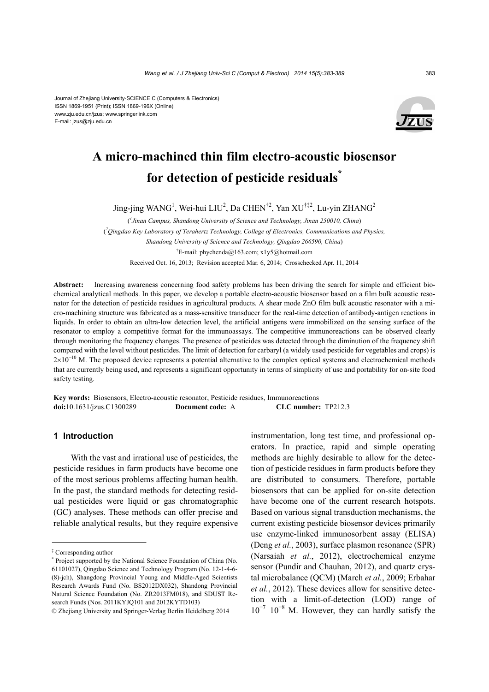

# **A micro-machined thin film electro-acoustic biosensor for detection of pesticide residuals\***

Jing-jing WANG<sup>1</sup>, Wei-hui LIU<sup>2</sup>, Da CHEN<sup>†2</sup>, Yan XU<sup>†‡2</sup>, Lu-yin ZHANG<sup>2</sup>

( *1 Jinan Campus, Shandong University of Science and Technology, Jinan 250010, China*) ( *2 Qingdao Key Laboratory of Terahertz Technology, College of Electronics, Communications and Physics, Shandong University of Science and Technology, Qingdao 266590, China*) † E-mail: phychenda@163.com; x1y5@hotmail.com Received Oct. 16, 2013; Revision accepted Mar. 6, 2014; Crosschecked Apr. 11, 2014

**Abstract:** Increasing awareness concerning food safety problems has been driving the search for simple and efficient biochemical analytical methods. In this paper, we develop a portable electro-acoustic biosensor based on a film bulk acoustic resonator for the detection of pesticide residues in agricultural products. A shear mode ZnO film bulk acoustic resonator with a micro-machining structure was fabricated as a mass-sensitive transducer for the real-time detection of antibody-antigen reactions in liquids. In order to obtain an ultra-low detection level, the artificial antigens were immobilized on the sensing surface of the resonator to employ a competitive format for the immunoassays. The competitive immunoreactions can be observed clearly through monitoring the frequency changes. The presence of pesticides was detected through the diminution of the frequency shift compared with the level without pesticides. The limit of detection for carbaryl (a widely used pesticide for vegetables and crops) is  $2\times10^{-10}$  M. The proposed device represents a potential alternative to the complex optical systems and electrochemical methods that are currently being used, and represents a significant opportunity in terms of simplicity of use and portability for on-site food safety testing.

**Key words:** Biosensors, Electro-acoustic resonator, Pesticide residues, Immunoreactions **doi:**10.1631/jzus.C1300289 **Document code:** A **CLC number:** TP212.3

#### **1 Introduction**

With the vast and irrational use of pesticides, the pesticide residues in farm products have become one of the most serious problems affecting human health. In the past, the standard methods for detecting residual pesticides were liquid or gas chromatographic (GC) analyses. These methods can offer precise and reliable analytical results, but they require expensive

instrumentation, long test time, and professional operators. In practice, rapid and simple operating methods are highly desirable to allow for the detection of pesticide residues in farm products before they are distributed to consumers. Therefore, portable biosensors that can be applied for on-site detection have become one of the current research hotspots. Based on various signal transduction mechanisms, the current existing pesticide biosensor devices primarily use enzyme-linked immunosorbent assay (ELISA) (Deng *et al.*, 2003), surface plasmon resonance (SPR) (Narsaiah *et al.*, 2012), electrochemical enzyme sensor (Pundir and Chauhan, 2012), and quartz crystal microbalance (QCM) (March *et al.*, 2009; Erbahar *et al.*, 2012). These devices allow for sensitive detection with a limit-of-detection (LOD) range of  $10^{-7}$ – $10^{-8}$  M. However, they can hardly satisfy the

<sup>‡</sup> Corresponding author

<sup>\*</sup> Project supported by the National Science Foundation of China (No. 61101027), Qingdao Science and Technology Program (No. 12-1-4-6- (8)-jch), Shangdong Provincial Young and Middle-Aged Scientists Research Awards Fund (No. BS2012DX032), Shandong Provincial Natural Science Foundation (No. ZR2013FM018), and SDUST Research Funds (Nos. 2011KYJO101 and 2012KYTD103)

<sup>©</sup> Zhejiang University and Springer-Verlag Berlin Heidelberg 2014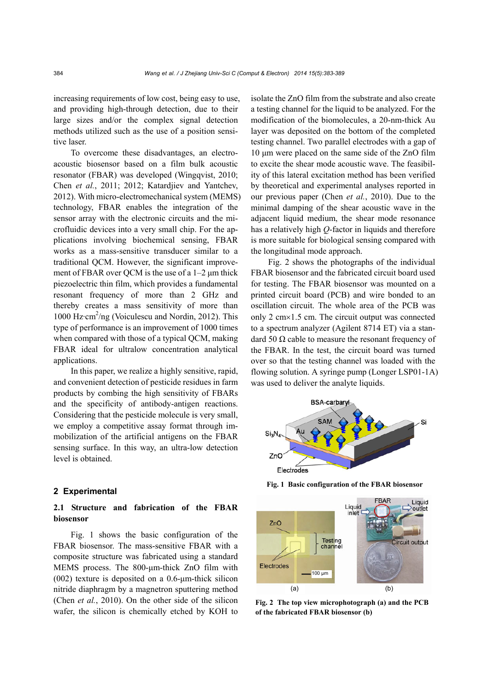increasing requirements of low cost, being easy to use, and providing high-through detection, due to their large sizes and/or the complex signal detection methods utilized such as the use of a position sensitive laser.

To overcome these disadvantages, an electroacoustic biosensor based on a film bulk acoustic resonator (FBAR) was developed (Wingqvist, 2010; Chen *et al.*, 2011; 2012; Katardjiev and Yantchev, 2012). With micro-electromechanical system (MEMS) technology, FBAR enables the integration of the sensor array with the electronic circuits and the microfluidic devices into a very small chip. For the applications involving biochemical sensing, FBAR works as a mass-sensitive transducer similar to a traditional QCM. However, the significant improvement of FBAR over QCM is the use of a 1–2 μm thick piezoelectric thin film, which provides a fundamental resonant frequency of more than 2 GHz and thereby creates a mass sensitivity of more than 1000 Hz·cm<sup>2</sup>/ng (Voiculescu and Nordin, 2012). This type of performance is an improvement of 1000 times when compared with those of a typical QCM, making FBAR ideal for ultralow concentration analytical applications.

In this paper, we realize a highly sensitive, rapid, and convenient detection of pesticide residues in farm products by combing the high sensitivity of FBARs and the specificity of antibody-antigen reactions. Considering that the pesticide molecule is very small, we employ a competitive assay format through immobilization of the artificial antigens on the FBAR sensing surface. In this way, an ultra-low detection level is obtained.

#### **2 Experimental**

# **2.1 Structure and fabrication of the FBAR biosensor**

Fig. 1 shows the basic configuration of the FBAR biosensor. The mass-sensitive FBAR with a composite structure was fabricated using a standard MEMS process. The 800-μm-thick ZnO film with (002) texture is deposited on a 0.6-μm-thick silicon nitride diaphragm by a magnetron sputtering method (Chen *et al.*, 2010). On the other side of the silicon wafer, the silicon is chemically etched by KOH to isolate the ZnO film from the substrate and also create a testing channel for the liquid to be analyzed. For the modification of the biomolecules, a 20-nm-thick Au layer was deposited on the bottom of the completed testing channel. Two parallel electrodes with a gap of 10 μm were placed on the same side of the ZnO film to excite the shear mode acoustic wave. The feasibility of this lateral excitation method has been verified by theoretical and experimental analyses reported in our previous paper (Chen *et al.*, 2010). Due to the minimal damping of the shear acoustic wave in the adjacent liquid medium, the shear mode resonance has a relatively high *Q*-factor in liquids and therefore is more suitable for biological sensing compared with the longitudinal mode approach.

Fig. 2 shows the photographs of the individual FBAR biosensor and the fabricated circuit board used for testing. The FBAR biosensor was mounted on a printed circuit board (PCB) and wire bonded to an oscillation circuit. The whole area of the PCB was only  $2 \text{ cm} \times 1.5 \text{ cm}$ . The circuit output was connected to a spectrum analyzer (Agilent 8714 ET) via a standard 50 Ω cable to measure the resonant frequency of the FBAR. In the test, the circuit board was turned over so that the testing channel was loaded with the flowing solution. A syringe pump (Longer LSP01-1A) was used to deliver the analyte liquids.



**Fig. 1 Basic configuration of the FBAR biosensor**



**Fig. 2 The top view microphotograph (a) and the PCB of the fabricated FBAR biosensor (b)**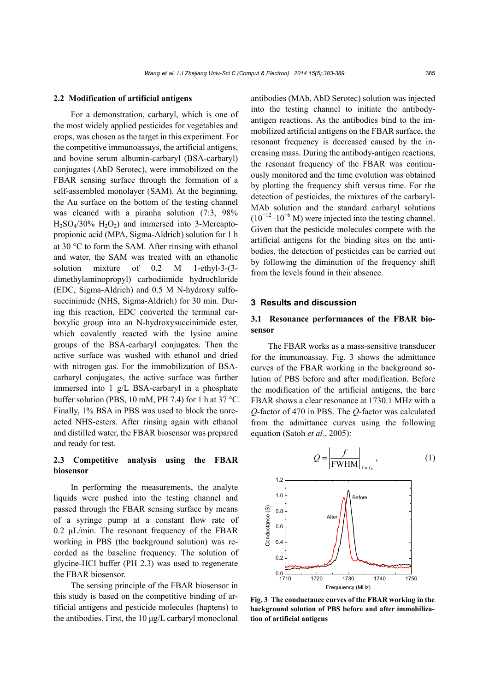#### **2.2 Modification of artificial antigens**

For a demonstration, carbaryl, which is one of the most widely applied pesticides for vegetables and crops, was chosen as the target in this experiment. For the competitive immunoassays, the artificial antigens, and bovine serum albumin-carbaryl (BSA-carbaryl) conjugates (AbD Serotec), were immobilized on the FBAR sensing surface through the formation of a self-assembled monolayer (SAM). At the beginning, the Au surface on the bottom of the testing channel was cleaned with a piranha solution (7:3, 98%  $H<sub>2</sub>SO<sub>4</sub>/30\% H<sub>2</sub>O<sub>2</sub>$  and immersed into 3-Mercaptopropionic acid (MPA, Sigma-Aldrich) solution for 1 h at 30  $\degree$ C to form the SAM. After rinsing with ethanol and water, the SAM was treated with an ethanolic solution mixture of 0.2 M 1-ethyl-3-(3 dimethylaminopropyl) carbodiimide hydrochloride (EDC, Sigma-Aldrich) and 0.5 M N-hydroxy sulfosuccinimide (NHS, Sigma-Aldrich) for 30 min. During this reaction, EDC converted the terminal carboxylic group into an N-hydroxysuccinimide ester, which covalently reacted with the lysine amine groups of the BSA-carbaryl conjugates. Then the active surface was washed with ethanol and dried with nitrogen gas. For the immobilization of BSAcarbaryl conjugates, the active surface was further immersed into 1 g/L BSA-carbaryl in a phosphate buffer solution (PBS, 10 mM, PH 7.4) for 1 h at 37 °C. Finally, 1% BSA in PBS was used to block the unreacted NHS-esters. After rinsing again with ethanol and distilled water, the FBAR biosensor was prepared and ready for test.

# **2.3 Competitive analysis using the FBAR biosensor**

In performing the measurements, the analyte liquids were pushed into the testing channel and passed through the FBAR sensing surface by means of a syringe pump at a constant flow rate of 0.2 μL/min. The resonant frequency of the FBAR working in PBS (the background solution) was recorded as the baseline frequency. The solution of glycine-HCl buffer (PH 2.3) was used to regenerate the FBAR biosensor.

The sensing principle of the FBAR biosensor in this study is based on the competitive binding of artificial antigens and pesticide molecules (haptens) to the antibodies. First, the 10 μg/L carbaryl monoclonal

antibodies (MAb, AbD Serotec) solution was injected into the testing channel to initiate the antibodyantigen reactions. As the antibodies bind to the immobilized artificial antigens on the FBAR surface, the resonant frequency is decreased caused by the increasing mass. During the antibody-antigen reactions, the resonant frequency of the FBAR was continuously monitored and the time evolution was obtained by plotting the frequency shift versus time. For the detection of pesticides, the mixtures of the carbaryl-MAb solution and the standard carbaryl solutions  $(10^{-12} - 10^{-6} \text{ M})$  were injected into the testing channel. Given that the pesticide molecules compete with the artificial antigens for the binding sites on the antibodies, the detection of pesticides can be carried out by following the diminution of the frequency shift from the levels found in their absence.

## **3 Results and discussion**

# **3.1 Resonance performances of the FBAR biosensor**

The FBAR works as a mass-sensitive transducer for the immunoassay. Fig. 3 shows the admittance curves of the FBAR working in the background solution of PBS before and after modification. Before the modification of the artificial antigens, the bare FBAR shows a clear resonance at 1730.1 MHz with a *Q*-factor of 470 in PBS. The *Q*-factor was calculated from the admittance curves using the following equation (Satoh *et al.*, 2005):





**Fig. 3 The conductance curves of the FBAR working in the background solution of PBS before and after immobilization of artificial antigens**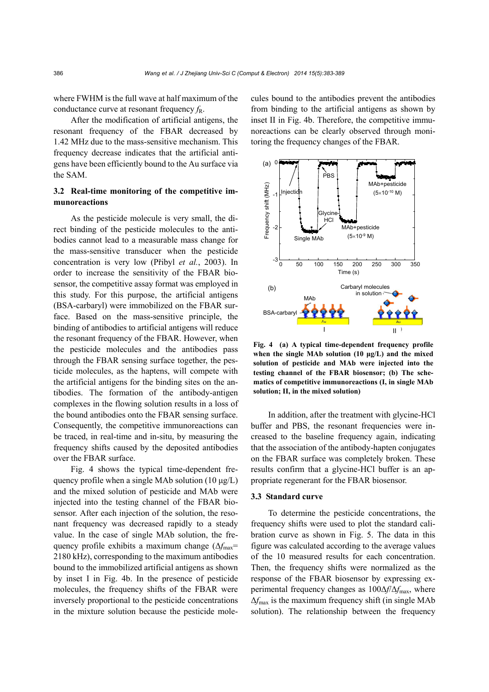where FWHM is the full wave at half maximum of the conductance curve at resonant frequency  $f_R$ .

After the modification of artificial antigens, the resonant frequency of the FBAR decreased by 1.42 MHz due to the mass-sensitive mechanism. This frequency decrease indicates that the artificial antigens have been efficiently bound to the Au surface via the SAM.

## **3.2 Real-time monitoring of the competitive immunoreactions**

As the pesticide molecule is very small, the direct binding of the pesticide molecules to the antibodies cannot lead to a measurable mass change for the mass-sensitive transducer when the pesticide concentration is very low (Přibyl *et al.*, 2003). In order to increase the sensitivity of the FBAR biosensor, the competitive assay format was employed in this study. For this purpose, the artificial antigens (BSA-carbaryl) were immobilized on the FBAR surface. Based on the mass-sensitive principle, the binding of antibodies to artificial antigens will reduce the resonant frequency of the FBAR. However, when the pesticide molecules and the antibodies pass through the FBAR sensing surface together, the pesticide molecules, as the haptens, will compete with the artificial antigens for the binding sites on the antibodies. The formation of the antibody-antigen complexes in the flowing solution results in a loss of the bound antibodies onto the FBAR sensing surface. Consequently, the competitive immunoreactions can be traced, in real-time and in-situ, by measuring the frequency shifts caused by the deposited antibodies over the FBAR surface.

Fig. 4 shows the typical time-dependent frequency profile when a single MAb solution (10 μg/L) and the mixed solution of pesticide and MAb were injected into the testing channel of the FBAR biosensor. After each injection of the solution, the resonant frequency was decreased rapidly to a steady value. In the case of single MAb solution, the frequency profile exhibits a maximum change (Δ $f_{\text{max}}$ = 2180 kHz), corresponding to the maximum antibodies bound to the immobilized artificial antigens as shown by inset I in Fig. 4b. In the presence of pesticide molecules, the frequency shifts of the FBAR were inversely proportional to the pesticide concentrations in the mixture solution because the pesticide molecules bound to the antibodies prevent the antibodies from binding to the artificial antigens as shown by inset II in Fig. 4b. Therefore, the competitive immunoreactions can be clearly observed through monitoring the frequency changes of the FBAR.



**Fig. 4 (a) A typical time-dependent frequency profile when the single MAb solution (10 μg/L) and the mixed solution of pesticide and MAb were injected into the testing channel of the FBAR biosensor; (b) The schematics of competitive immunoreactions (I, in single MAb solution; II, in the mixed solution)** 

In addition, after the treatment with glycine-HCl buffer and PBS, the resonant frequencies were increased to the baseline frequency again, indicating that the association of the antibody-hapten conjugates on the FBAR surface was completely broken. These results confirm that a glycine-HCl buffer is an appropriate regenerant for the FBAR biosensor.

#### **3.3 Standard curve**

To determine the pesticide concentrations, the frequency shifts were used to plot the standard calibration curve as shown in Fig. 5. The data in this figure was calculated according to the average values of the 10 measured results for each concentration. Then, the frequency shifts were normalized as the response of the FBAR biosensor by expressing experimental frequency changes as 100Δ*f*/Δ*f*max, where Δ*f*max is the maximum frequency shift (in single MAb solution). The relationship between the frequency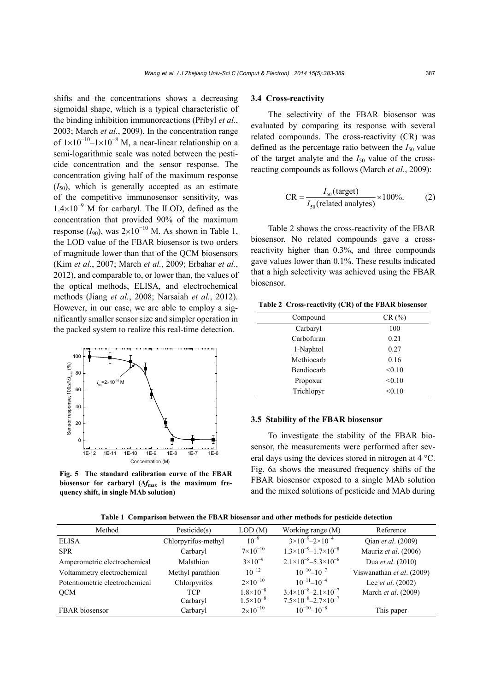shifts and the concentrations shows a decreasing sigmoidal shape, which is a typical characteristic of the binding inhibition immunoreactions (Přibyl *et al.*, 2003; March *et al.*, 2009). In the concentration range of  $1\times10^{-10}$ -1×10<sup>-8</sup> M, a near-linear relationship on a semi-logarithmic scale was noted between the pesticide concentration and the sensor response. The concentration giving half of the maximum response  $(I_{50})$ , which is generally accepted as an estimate of the competitive immunosensor sensitivity, was  $1.4\times10^{-9}$  M for carbaryl. The lLOD, defined as the concentration that provided 90% of the maximum response  $(I_{90})$ , was  $2\times10^{-10}$  M. As shown in Table 1, the LOD value of the FBAR biosensor is two orders of magnitude lower than that of the QCM biosensors (Kim *et al.*, 2007; March *et al.*, 2009; Erbahar *et al.*, 2012), and comparable to, or lower than, the values of the optical methods, ELISA, and electrochemical methods (Jiang *et al.*, 2008; Narsaiah *et al.*, 2012). However, in our case, we are able to employ a significantly smaller sensor size and simpler operation in the packed system to realize this real-time detection.



**Fig. 5 The standard calibration curve of the FBAR**  biosensor for carbaryl  $(\Delta f_{\text{max}})$  is the maximum fre**quency shift, in single MAb solution)**

#### **3.4 Cross-reactivity**

The selectivity of the FBAR biosensor was evaluated by comparing its response with several related compounds. The cross-reactivity (CR) was defined as the percentage ratio between the  $I_{50}$  value of the target analyte and the  $I_{50}$  value of the crossreacting compounds as follows (March *et al.*, 2009):

$$
CR = \frac{I_{50} \text{(target)}}{I_{50} \text{(related analyses)}} \times 100\%.
$$
 (2)

Table 2 shows the cross-reactivity of the FBAR biosensor. No related compounds gave a crossreactivity higher than 0.3%, and three compounds gave values lower than 0.1%. These results indicated that a high selectivity was achieved using the FBAR biosensor.

|  | Table 2 Cross-reactivity (CR) of the FBAR biosensor |  |  |  |  |
|--|-----------------------------------------------------|--|--|--|--|
|--|-----------------------------------------------------|--|--|--|--|

| Compound   | CR(%)  |  |  |
|------------|--------|--|--|
| Carbaryl   | 100    |  |  |
| Carbofuran | 0.21   |  |  |
| 1-Naphtol  | 0.27   |  |  |
| Methiocarb | 0.16   |  |  |
| Bendiocarb | < 0.10 |  |  |
| Propoxur   | < 0.10 |  |  |
| Trichlopyr | < 0.10 |  |  |

#### **3.5 Stability of the FBAR biosensor**

To investigate the stability of the FBAR biosensor, the measurements were performed after several days using the devices stored in nitrogen at  $4^{\circ}$ C. Fig. 6a shows the measured frequency shifts of the FBAR biosensor exposed to a single MAb solution and the mixed solutions of pesticide and MAb during

**Table 1 Comparison between the FBAR biosensor and other methods for pesticide detection** 

| Method                         | Pesticide(s)        | LOD(M)               | Working range (M)                         | Reference                  |
|--------------------------------|---------------------|----------------------|-------------------------------------------|----------------------------|
| ELISA                          | Chlorpyrifos-methyl | $10^{-9}$            | $3\times10^{-9} - 2\times10^{-4}$         | Qian <i>et al.</i> (2009)  |
| <b>SPR</b>                     | Carbaryl            | $7 \times 10^{-10}$  | $1.3\times10^{-9}$ -1.7 $\times10^{-8}$   | Mauriz et al. (2006)       |
| Amperometric electrochemical   | Malathion           | $3 \times 10^{-9}$   | $2.1\times10^{-8} - 5.3\times10^{-6}$     | Dua et al. (2010)          |
| Voltammetry electrochemical    | Methyl parathion    | $10^{-12}$           | $10^{-10} - 10^{-7}$                      | Viswanathan et al. (2009)  |
| Potentiometric electrochemical | Chlorpyrifos        | $2 \times 10^{-10}$  | $10^{-11} - 10^{-4}$                      | Lee <i>et al.</i> $(2002)$ |
| <b>OCM</b>                     | TCP                 | $1.8\times10^{-8}$   | $3.4\times10^{-8} - 2.1\times10^{-7}$     | March et al. (2009)        |
|                                | Carbaryl            | $1.5 \times 10^{-8}$ | $7.5 \times 10^{-8} - 2.7 \times 10^{-7}$ |                            |
| FBAR biosensor                 | Carbaryl            | $2 \times 10^{-10}$  | $10^{-10} - 10^{-8}$                      | This paper                 |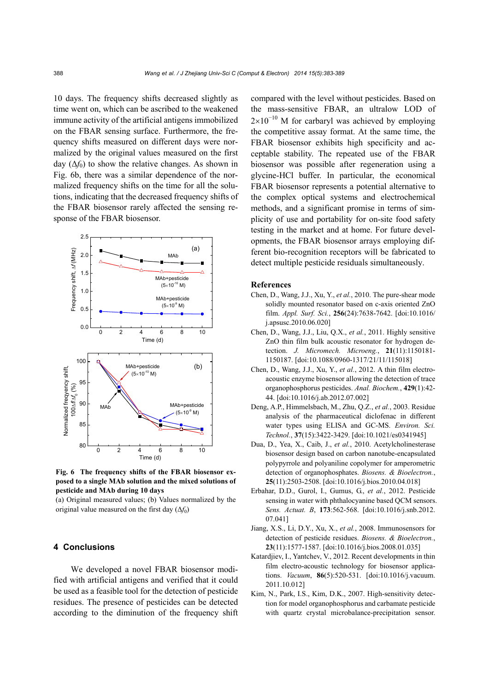10 days. The frequency shifts decreased slightly as time went on, which can be ascribed to the weakened immune activity of the artificial antigens immobilized on the FBAR sensing surface. Furthermore, the frequency shifts measured on different days were normalized by the original values measured on the first day  $(\Delta f_0)$  to show the relative changes. As shown in Fig. 6b, there was a similar dependence of the normalized frequency shifts on the time for all the solutions, indicating that the decreased frequency shifts of the FBAR biosensor rarely affected the sensing response of the FBAR biosensor.



**Fig. 6 The frequency shifts of the FBAR biosensor exposed to a single MAb solution and the mixed solutions of pesticide and MAb during 10 days** 

(a) Original measured values; (b) Values normalized by the original value measured on the first day  $(\Delta f_0)$ 

## **4 Conclusions**

We developed a novel FBAR biosensor modified with artificial antigens and verified that it could be used as a feasible tool for the detection of pesticide residues. The presence of pesticides can be detected according to the diminution of the frequency shift compared with the level without pesticides. Based on the mass-sensitive FBAR, an ultralow LOD of  $2\times10^{-10}$  M for carbaryl was achieved by employing the competitive assay format. At the same time, the FBAR biosensor exhibits high specificity and acceptable stability. The repeated use of the FBAR biosensor was possible after regeneration using a glycine-HCl buffer. In particular, the economical FBAR biosensor represents a potential alternative to the complex optical systems and electrochemical methods, and a significant promise in terms of simplicity of use and portability for on-site food safety testing in the market and at home. For future developments, the FBAR biosensor arrays employing different bio-recognition receptors will be fabricated to detect multiple pesticide residuals simultaneously.

# **References**

- Chen, D., Wang, J.J., Xu, Y., *et al.*, 2010. The pure-shear mode solidly mounted resonator based on c-axis oriented ZnO film. *Appl. Surf. Sci.*, **256**(24):7638-7642. [doi:10.1016/ j.apsusc.2010.06.020]
- Chen, D., Wang, J.J., Liu, Q.X., *et al.*, 2011. Highly sensitive ZnO thin film bulk acoustic resonator for hydrogen detection. *J. Micromech. Microeng.*, **21**(11):1150181- 1150187. [doi:10.1088/0960-1317/21/11/115018]
- Chen, D., Wang, J.J., Xu, Y., *et al.*, 2012. A thin film electroacoustic enzyme biosensor allowing the detection of trace organophosphorus pesticides. *Anal. Biochem.*, **429**(1):42- 44. [doi:10.1016/j.ab.2012.07.002]
- Deng, A.P., Himmelsbach, M., Zhu, Q.Z., *et al.*, 2003. Residue analysis of the pharmaceutical diclofenac in different water types using ELISA and GC-MS. *Environ. Sci. Technol.*, **37**(15):3422-3429. [doi:10.1021/es0341945]
- Dua, D., Yea, X., Caib, J., *et al.*, 2010. Acetylcholinesterase biosensor design based on carbon nanotube-encapsulated polypyrrole and polyaniline copolymer for amperometric detection of organophosphates. *Biosens. & Bioelectron.*, **25**(11):2503-2508. [doi:10.1016/j.bios.2010.04.018]
- Erbahar, D.D., Gurol, I., Gumus, G., *et al.*, 2012. Pesticide sensing in water with phthalocyanine based QCM sensors. *Sens. Actuat. B*, **173**:562-568. [doi:10.1016/j.snb.2012. 07.041]
- Jiang, X.S., Li, D.Y., Xu, X., *et al.*, 2008. Immunosensors for detection of pesticide residues. *Biosens. & Bioelectron.*, **23**(11):1577-1587. [doi:10.1016/j.bios.2008.01.035]
- Katardjiev, I., Yantchev, V., 2012. Recent developments in thin film electro-acoustic technology for biosensor applications. *Vacuum*, **86**(5):520-531. [doi:10.1016/j.vacuum. 2011.10.012]
- Kim, N., Park, I.S., Kim, D.K., 2007. High-sensitivity detection for model organophosphorus and carbamate pesticide with quartz crystal microbalance-precipitation sensor.